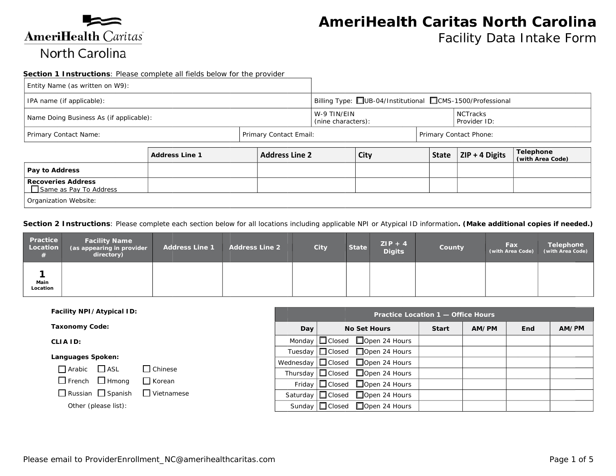

 $\Box$  Same as Pay To Address

Organization Website:

# **AmeriHealth Caritas North Carolina**

Facility Data Intake Form

#### Section 1 Instructions: Please complete all fields below for the provider

| Entity Name (as written on W9):                 |  |  |                                                         |                                   |                        |                               |                                 |  |
|-------------------------------------------------|--|--|---------------------------------------------------------|-----------------------------------|------------------------|-------------------------------|---------------------------------|--|
| IPA name (if applicable):                       |  |  | Billing Type: UB-04/Institutional CMS-1500/Professional |                                   |                        |                               |                                 |  |
| Name Doing Business As (if applicable):         |  |  |                                                         | W-9 TIN/EIN<br>(nine characters): |                        |                               | <b>NCTracks</b><br>Provider ID: |  |
| Primary Contact Email:<br>Primary Contact Name: |  |  |                                                         |                                   |                        |                               | Primary Contact Phone:          |  |
| <b>Address Line 2</b><br><b>Address Line 1</b>  |  |  | <b>City</b>                                             | <b>State</b>                      | $\vert$ ZIP + 4 Digits | Telephone<br>(with Area Code) |                                 |  |
| Pay to Address                                  |  |  |                                                         |                                   |                        |                               |                                 |  |
| <b>Docovorios Address</b>                       |  |  |                                                         |                                   |                        |                               |                                 |  |

Section 2 Instructions: Please complete each section below for all locations including applicable NPI or Atypical ID information. (Make additional copies if needed.)

| Practice<br>Location | <b>Facility Name</b><br>(as appearing in provider<br>directory) | <b>Address Line 1</b> | <b>Address Line 2</b> | City | <b>State</b> | $ZIP + 4$<br><b>Digits</b> | County | Fax<br>(with Area Code) | Telephone<br>(with Area Code) |
|----------------------|-----------------------------------------------------------------|-----------------------|-----------------------|------|--------------|----------------------------|--------|-------------------------|-------------------------------|
| Main<br>Location     |                                                                 |                       |                       |      |              |                            |        |                         |                               |

| Facility NPI/Atypical ID:                       |               | Practice Location 1 - Office Hours |  |                                              |              |       |            |       |  |  |
|-------------------------------------------------|---------------|------------------------------------|--|----------------------------------------------|--------------|-------|------------|-------|--|--|
| <b>Taxonomy Code:</b>                           |               | Day                                |  | <b>No Set Hours</b>                          | <b>Start</b> | AM/PM | <b>End</b> | AM/PM |  |  |
| CLIA ID:                                        |               |                                    |  | Monday $\Box$ Closed $\Box$ Open 24 Hours    |              |       |            |       |  |  |
| Languages Spoken:                               |               |                                    |  | Tuesday   Closed □ Open 24 Hours             |              |       |            |       |  |  |
|                                                 |               |                                    |  | Wednesday $\Box$ Closed $\Box$ Open 24 Hours |              |       |            |       |  |  |
| $\Box$ Arabic $\Box$ ASL                        | Chinese       |                                    |  | Thursday $\Box$ Closed $\Box$ Open 24 Hours  |              |       |            |       |  |  |
| $\Box$ French $\Box$ Hmong                      | $\Box$ Korean |                                    |  | Friday $\Box$ Closed $\Box$ Open 24 Hours    |              |       |            |       |  |  |
| $\Box$ Russian $\Box$ Spanish $\Box$ Vietnamese |               |                                    |  | Saturday $\Box$ Closed $\Box$ Open 24 Hours  |              |       |            |       |  |  |
| Other (please list):                            |               |                                    |  | Sunday   Closed □ Open 24 Hours              |              |       |            |       |  |  |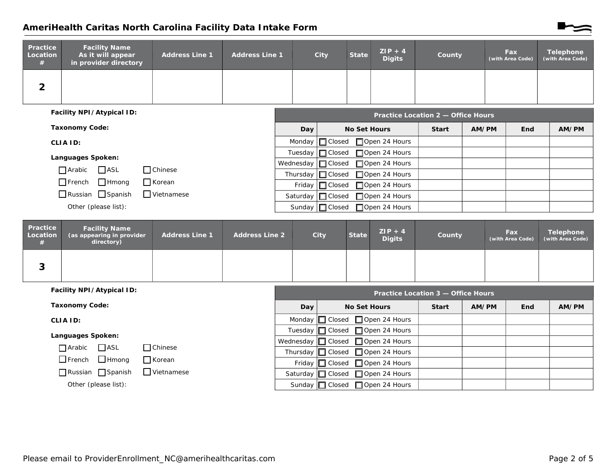## AmeriHealth Caritas North Carolina Facility Data Intake Form

| Practice<br>Location<br># | <b>Facility Name</b><br>As it will appear<br>in provider directory | <b>Address Line 1</b> | <b>Address Line 1</b> | City | <b>State</b> | $ZIP + 4$<br><b>Digits</b> | County | Fax<br>(with Area Code) | <b>Telephone</b><br>(with Area Code) |
|---------------------------|--------------------------------------------------------------------|-----------------------|-----------------------|------|--------------|----------------------------|--------|-------------------------|--------------------------------------|
| ∠                         |                                                                    |                       |                       |      |              |                            |        |                         |                                      |

| Facility NPI/Atypical ID:                          |     | Practice Location 2 - Office Hours           |              |       |            |       |  |  |  |  |
|----------------------------------------------------|-----|----------------------------------------------|--------------|-------|------------|-------|--|--|--|--|
| <b>Taxonomy Code:</b>                              | Day | <b>No Set Hours</b>                          | <b>Start</b> | AM/PM | <b>End</b> | AM/PM |  |  |  |  |
| <b>CLIA ID:</b>                                    |     | Monday $\Box$ Closed $\Box$ Open 24 Hours    |              |       |            |       |  |  |  |  |
| Languages Spoken:                                  |     | Tuesday   Closed □ Open 24 Hours             |              |       |            |       |  |  |  |  |
|                                                    |     | Wednesday $\Box$ Closed $\Box$ Open 24 Hours |              |       |            |       |  |  |  |  |
| <b>ASL</b><br>$\Box$ Arabic<br><b>Chinese</b>      |     | Thursday $\Box$ Closed $\Box$ Open 24 Hours  |              |       |            |       |  |  |  |  |
| $\Box$ French $\Box$ Hmong<br>□ Korean             |     | Friday   Closed □ Open 24 Hours              |              |       |            |       |  |  |  |  |
| $\Box$ Russian $\Box$ Spanish<br>$\Box$ Vietnamese |     | Saturday   Closed □ Open 24 Hours            |              |       |            |       |  |  |  |  |
| Other (please list):                               |     | Sunday   Closed □ Open 24 Hours              |              |       |            |       |  |  |  |  |

| Practice<br>Location<br># | <b>Facility Name</b><br>(as appearing in provider<br>directory) | <b>Address Line 1</b> | <b>Address Line 2</b> | City | <b>State</b> | $ZIP + 4$<br><b>Digits</b> | County | Fax<br>(with Area Code) | <b>Telephone</b><br>(with Area Code) |
|---------------------------|-----------------------------------------------------------------|-----------------------|-----------------------|------|--------------|----------------------------|--------|-------------------------|--------------------------------------|
| ς.<br>J                   |                                                                 |                       |                       |      |              |                            |        |                         |                                      |

| Facility NPI/Atypical ID:                     | Practice Location 3 - Office Hours |                                              |              |       |     |       |  |  |  |
|-----------------------------------------------|------------------------------------|----------------------------------------------|--------------|-------|-----|-------|--|--|--|
| <b>Taxonomy Code:</b>                         | Day                                | <b>No Set Hours</b>                          | <b>Start</b> | AM/PM | End | AM/PM |  |  |  |
| CLIA ID:                                      |                                    | Monday $\Box$ Closed $\Box$ Open 24 Hours    |              |       |     |       |  |  |  |
| Languages Spoken:                             |                                    | Tuesday □ Closed □ Open 24 Hours             |              |       |     |       |  |  |  |
|                                               |                                    | Wednesday $\Box$ Closed $\Box$ Open 24 Hours |              |       |     |       |  |  |  |
| $\Box$ ASL<br>$\Box$ Arabic<br>$\Box$ Chinese |                                    | Thursday $\Box$ Closed $\Box$ Open 24 Hours  |              |       |     |       |  |  |  |
| $\Box$ French $\Box$ Hmong<br>$\prod$ Korean  |                                    | Friday   Closed   Open 24 Hours              |              |       |     |       |  |  |  |
| Vietnamese<br>Russian Spanish                 |                                    | Saturday   Closed □ Open 24 Hours            |              |       |     |       |  |  |  |
| Other (please list):                          |                                    | Sunday   Closed □ Open 24 Hours              |              |       |     |       |  |  |  |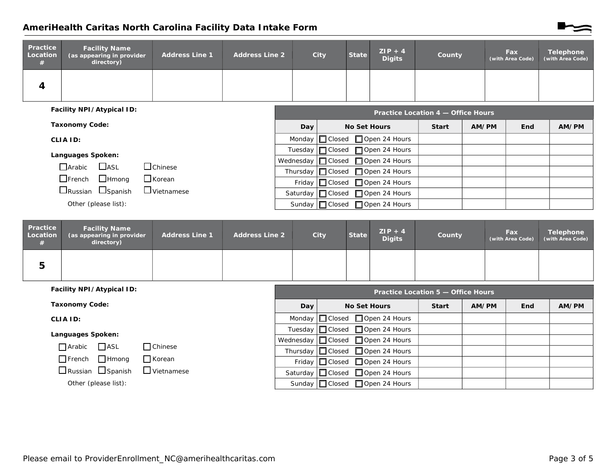## AmeriHealth Caritas North Carolina Facility Data Intake Form

| Practice<br>Location<br># | <b>Facility Name</b><br>as appearing in provider as<br>directory) | <b>Address Line 1</b> | <b>Address Line 2</b> | City | <b>State</b> | $ZIP + 4$<br><b>Digits</b> | County                                  | <b>Fax</b><br>(with Area Code) | <b>Telephone</b><br>(with Area Code) |
|---------------------------|-------------------------------------------------------------------|-----------------------|-----------------------|------|--------------|----------------------------|-----------------------------------------|--------------------------------|--------------------------------------|
| 4                         |                                                                   |                       |                       |      |              |                            |                                         |                                |                                      |
|                           | Facility NPI/Atypical ID:                                         |                       |                       |      |              |                            | <b>Drastical gootion 4</b> Office Hours |                                |                                      |

|                               |                   |     | Practice Location 4 — Office Hours          |              |       |     |       |
|-------------------------------|-------------------|-----|---------------------------------------------|--------------|-------|-----|-------|
| <b>Taxonomy Code:</b>         |                   | Day | <b>No Set Hours</b>                         | <b>Start</b> | AM/PM | End | AM/PM |
| CLIA ID:                      |                   |     | Monday $\Box$ Closed $\Box$ Open 24 Hours   |              |       |     |       |
| Languages Spoken:             |                   |     | Tuesday   Closed □ Open 24 Hours            |              |       |     |       |
| $\Box$ ASL<br>$\Box$ Arabic   |                   |     | Wednesday   Closed □ Open 24 Hours          |              |       |     |       |
|                               | $\Box$ Chinese    |     | Thursday $\Box$ Closed $\Box$ Open 24 Hours |              |       |     |       |
| $\Box$ French $\Box$ Hmong    | $\Box$ Korean     |     | Friday   Closed   Open 24 Hours             |              |       |     |       |
| $\Box$ Russian $\Box$ Spanish | $\Box$ Vietnamese |     | Saturday   Closed □ Open 24 Hours           |              |       |     |       |
| Other (please list):          |                   |     | Sunday   Closed □ Open 24 Hours             |              |       |     |       |

| Practice<br>Location | <b>Facility Name</b><br>(as appearing in provider<br>directory) | <b>Address Line 1</b> | <b>Address Line 2</b> | City | <b>State</b> | $ZIP + 4$<br><b>Digits</b> | County | Fax<br>(with Area Code) | Telephone<br>(with Area Code) |
|----------------------|-----------------------------------------------------------------|-----------------------|-----------------------|------|--------------|----------------------------|--------|-------------------------|-------------------------------|
| 5                    |                                                                 |                       |                       |      |              |                            |        |                         |                               |

| Facility NPI/Atypical ID:                          | Practice Location 5 - Office Hours |                                              |              |       |            |       |  |  |  |
|----------------------------------------------------|------------------------------------|----------------------------------------------|--------------|-------|------------|-------|--|--|--|
| <b>Taxonomy Code:</b>                              | <b>Day</b>                         | <b>No Set Hours</b>                          | <b>Start</b> | AM/PM | <b>End</b> | AM/PM |  |  |  |
| CLIA ID:                                           |                                    | Monday $\Box$ Closed $\Box$ Open 24 Hours    |              |       |            |       |  |  |  |
| Languages Spoken:                                  |                                    | Tuesday   Closed □ Open 24 Hours             |              |       |            |       |  |  |  |
|                                                    |                                    | Wednesday $\Box$ Closed $\Box$ Open 24 Hours |              |       |            |       |  |  |  |
| $\Box$ ASL<br>$\Box$ Arabic<br>$\Box$ Chinese      |                                    | Thursday $\Box$ Closed $\Box$ Open 24 Hours  |              |       |            |       |  |  |  |
| $\Box$ French $\Box$ Hmong<br>$\Box$ Korean        |                                    | Friday   Closed □ Open 24 Hours              |              |       |            |       |  |  |  |
| $\Box$ Russian $\Box$ Spanish<br>$\Box$ Vietnamese |                                    | Saturday   Closed □ Open 24 Hours            |              |       |            |       |  |  |  |
| Other (please list):                               |                                    | Sunday   Closed □ Open 24 Hours              |              |       |            |       |  |  |  |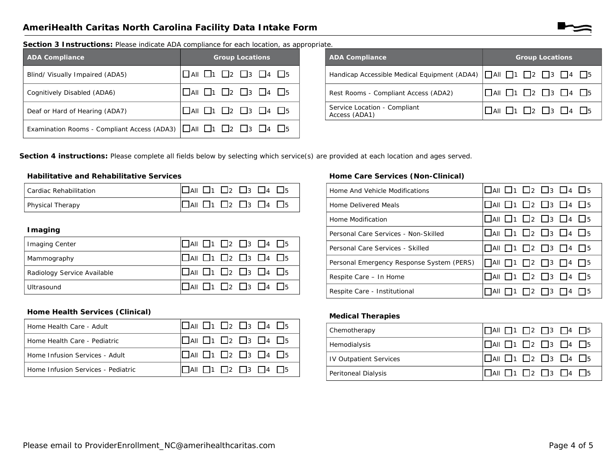Section 3 Instructions: Please indicate ADA compliance for each location, as appropriate.

| <b>ADA Compliance</b>                                                                               | <b>Group Locations</b>                                  |
|-----------------------------------------------------------------------------------------------------|---------------------------------------------------------|
| Blind/ Visually Impaired (ADA5)                                                                     | $\Box$ AII $\Box$ 1 $\Box$ 2 $\Box$ 3 $\Box$ 4 $\Box$ 5 |
| Cognitively Disabled (ADA6)                                                                         | $\Box$ AII $\Box$ 1 $\Box$ 2 $\Box$ 3 $\Box$ 4 $\Box$ 5 |
| Deaf or Hard of Hearing (ADA7)                                                                      | $\Box$ All $\Box$ 1 $\Box$ 2 $\Box$ 3 $\Box$ 4 $\Box$ 5 |
| Examination Rooms - Compliant Access (ADA3) $\Box$ All $\Box$ 1 $\Box$ 2 $\Box$ 3 $\Box$ 4 $\Box$ 5 |                                                         |

| <b>ADA Compliance</b>                                                                | <b>Group Locations</b>                                  |
|--------------------------------------------------------------------------------------|---------------------------------------------------------|
| Handicap Accessible Medical Equipment (ADA4)       All           2     3     4     5 |                                                         |
| Rest Rooms - Compliant Access (ADA2)                                                 | $\Box$ AII $\Box$ 1 $\Box$ 2 $\Box$ 3 $\Box$ 4 $\Box$ 5 |
| Service Location - Compliant<br>Access (ADA1)                                        | $\Box$ AII $\Box$ 1 $\Box$ 2 $\Box$ 3 $\Box$ 4 $\Box$ 5 |

Section 4 instructions: Please complete all fields below by selecting which service(s) are provided at each location and ages served.

#### **Habilitative and Rehabilitative Services**

| Cardiac Rehabilitation  | $\Box$ AII $\Box$ 1 $\Box$ 2 $\Box$ 3 $\Box$ 4 $\Box$ 5 |
|-------------------------|---------------------------------------------------------|
| <b>Physical Therapy</b> | $\Box$ AII $\Box$ 1 $\Box$ 2 $\Box$ 3 $\Box$ 4 $\Box$ 5 |

#### **I** maging

| <b>Imaging Center</b>       | $\Box$ AII $\Box$ 1 $\Box$ 2 $\Box$ 3 $\Box$ 4 $\Box$ 5 |
|-----------------------------|---------------------------------------------------------|
| Mammography                 | $\Box$ AII $\Box$ 1 $\Box$ 2 $\Box$ 3 $\Box$ 4 $\Box$ 5 |
| Radiology Service Available | $\Box$ AII $\Box$ 1 $\Box$ 2 $\Box$ 3 $\Box$ 4 $\Box$ 5 |
| Ultrasound                  | $\Box$ AII $\Box$ 1 $\Box$ 2 $\Box$ 3 $\Box$ 4 $\Box$ 5 |

#### Home Care Services (Non-Clinical)

| Home And Vehicle Modifications            | $\Box$ All $\Box$ 1 $\Box$ 2 $\Box$ 3 $\Box$ 4 $\Box$ 5 |
|-------------------------------------------|---------------------------------------------------------|
| Home Delivered Meals                      | $\Box$ All $\Box$ 1 $\Box$ 2 $\Box$ 3 $\Box$ 4 $\Box$ 5 |
| Home Modification                         | $\Box$ All $\Box$ 1 $\Box$ 2 $\Box$ 3 $\Box$ 4 $\Box$ 5 |
| Personal Care Services - Non-Skilled      | $\Box$ aii $\Box$ 1 $\Box$ 2 $\Box$ 3 $\Box$ 4 $\Box$ 5 |
| Personal Care Services - Skilled          | $\Box$ All $\Box$ 1 $\Box$ 2 $\Box$ 3 $\Box$ 4 $\Box$ 5 |
| Personal Emergency Response System (PERS) | $\Box$ All $\Box$ 1 $\Box$ 2 $\Box$ 3 $\Box$ 4 $\Box$ 5 |
| Respite Care - In Home                    | $\Box$ All $\Box$ 1 $\Box$ 2 $\Box$ 3 $\Box$ 4 $\Box$ 5 |
| Respite Care - Institutional              | $\Box$ 1 $\Box$ 2 $\Box$ 3 $\Box$ 4 $\Box$ 5<br>ΠA⊪     |

#### Home Health Services (Clinical)

| Home Health Care - Adult           | $\Box$ AII $\Box$ 1 $\Box$ 2 $\Box$ 3 $\Box$ 4 $\Box$ 5 |
|------------------------------------|---------------------------------------------------------|
| Home Health Care - Pediatric       | $\Box$ AII $\Box$ 1 $\Box$ 2 $\Box$ 3 $\Box$ 4 $\Box$ 5 |
| Home Infusion Services - Adult     | $\Box$ AII $\Box$ 1 $\Box$ 2 $\Box$ 3 $\Box$ 4 $\Box$ 5 |
| Home Infusion Services - Pediatric | $\Box$ All $\Box$ 1 $\Box$ 2 $\Box$ 3 $\Box$ 4 $\Box$ 5 |

#### **Medical Therapies**

| Chemotherapy                  | $\Box$ AII $\Box$ 1 $\Box$ 2 $\Box$ 3 $\Box$ 4 $\Box$ 5 |
|-------------------------------|---------------------------------------------------------|
| Hemodialysis                  | $\Box$ AII $\Box$ 1 $\Box$ 2 $\Box$ 3 $\Box$ 4 $\Box$ 5 |
| <b>IV Outpatient Services</b> | $\Box$ AII $\Box$ 1 $\Box$ 2 $\Box$ 3 $\Box$ 4 $\Box$ 5 |
| Peritoneal Dialysis           | $\Box$ AII $\Box$ 1 $\Box$ 2 $\Box$ 3 $\Box$ 4 $\Box$ 5 |